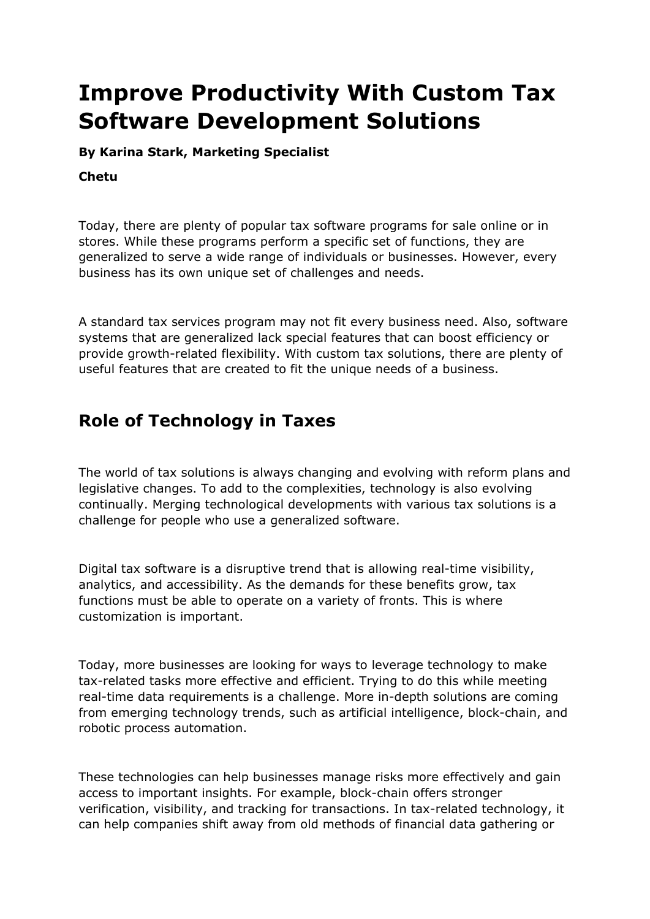# **Improve Productivity With Custom Tax Software Development Solutions**

**By Karina Stark, Marketing Specialist**

#### **Chetu**

Today, there are plenty of popular tax software programs for sale online or in stores. While these programs perform a specific set of functions, they are generalized to serve a wide range of individuals or businesses. However, every business has its own unique set of challenges and needs.

A standard tax services program may not fit every business need. Also, software systems that are generalized lack special features that can boost efficiency or provide growth-related flexibility. With custom tax solutions, there are plenty of useful features that are created to fit the unique needs of a business.

# **Role of Technology in Taxes**

The world of tax solutions is always changing and evolving with reform plans and legislative changes. To add to the complexities, technology is also evolving continually. Merging technological developments with various tax solutions is a challenge for people who use a generalized software.

Digital tax software is a disruptive trend that is allowing real-time visibility, analytics, and accessibility. As the demands for these benefits grow, tax functions must be able to operate on a variety of fronts. This is where customization is important.

Today, more businesses are looking for ways to leverage technology to make tax-related tasks more effective and efficient. Trying to do this while meeting real-time data requirements is a challenge. More in-depth solutions are coming from emerging technology trends, such as artificial intelligence, block-chain, and robotic process automation.

These technologies can help businesses manage risks more effectively and gain access to important insights. For example, block-chain offers stronger verification, visibility, and tracking for transactions. In tax-related technology, it can help companies shift away from old methods of financial data gathering or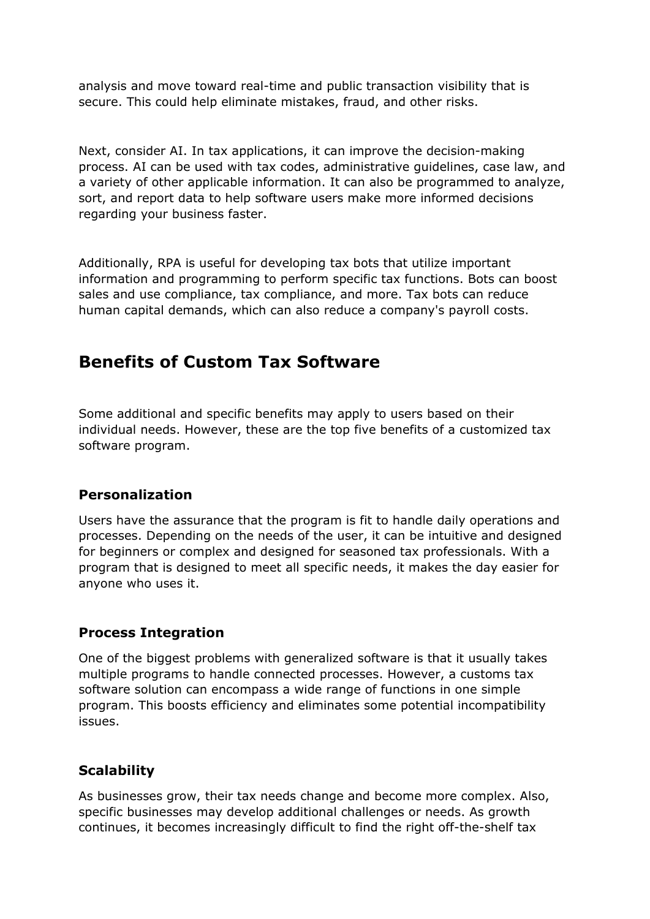analysis and move toward real-time and public transaction visibility that is secure. This could help eliminate mistakes, fraud, and other risks.

Next, consider AI. In tax applications, it can improve the decision-making process. AI can be used with tax codes, administrative guidelines, case law, and a variety of other applicable information. It can also be programmed to analyze, sort, and report data to help software users make more informed decisions regarding your business faster.

Additionally, RPA is useful for developing tax bots that utilize important information and programming to perform specific tax functions. Bots can boost sales and use compliance, tax compliance, and more. Tax bots can reduce human capital demands, which can also reduce a company's payroll costs.

# **Benefits of Custom Tax Software**

Some additional and specific benefits may apply to users based on their individual needs. However, these are the top five benefits of a customized [tax](https://www.chetu.com/finance/taxes.php)  [software program.](https://www.chetu.com/finance/taxes.php)

### **Personalization**

Users have the assurance that the program is fit to handle daily operations and processes. Depending on the needs of the user, it can be intuitive and designed for beginners or complex and designed for seasoned tax professionals. With a program that is designed to meet all specific needs, it makes the day easier for anyone who uses it.

### **Process Integration**

One of the biggest problems with generalized software is that it usually takes multiple programs to handle connected processes. However, a customs tax software solution can encompass a wide range of functions in one simple program. This boosts efficiency and eliminates some potential incompatibility issues.

## **Scalability**

As businesses grow, their tax needs change and become more complex. Also, specific businesses may develop additional challenges or needs. As growth continues, it becomes increasingly difficult to find the right off-the-shelf tax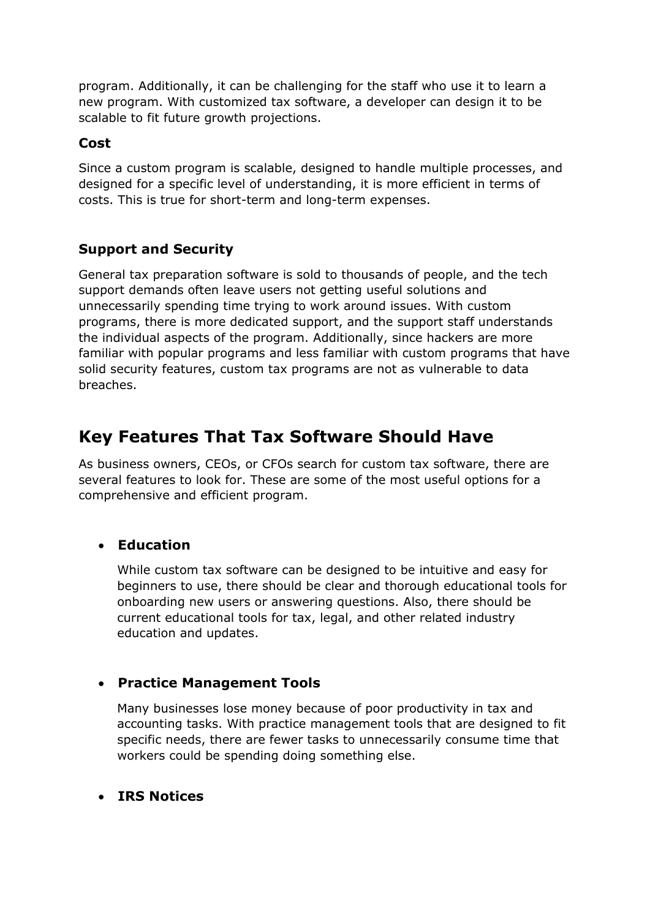program. Additionally, it can be challenging for the staff who use it to learn a new program. With customized tax software, a developer can design it to be scalable to fit future growth projections.

### **Cost**

Since a custom program is scalable, designed to handle multiple processes, and designed for a specific level of understanding, it is more efficient in terms of costs. This is true for short-term and long-term expenses.

# **Support and Security**

General tax preparation software is sold to thousands of people, and the tech support demands often leave users not getting useful solutions and unnecessarily spending time trying to work around issues. With custom programs, there is more dedicated support, and the support staff understands the individual aspects of the program. Additionally, since hackers are more familiar with popular programs and less familiar with custom programs that have solid security features, custom tax programs are not as vulnerable to data breaches.

# **Key Features That Tax Software Should Have**

As business owners, CEOs, or CFOs search for custom tax software, there are several features to look for. These are some of the most useful options for a comprehensive and efficient program.

## • **Education**

While custom tax software can be designed to be intuitive and easy for beginners to use, there should be clear and thorough educational tools for onboarding new users or answering questions. Also, there should be current educational tools for tax, legal, and other related industry education and updates.

## • **Practice Management Tools**

Many businesses lose money because of poor productivity in tax and accounting tasks. With practice management tools that are designed to fit specific needs, there are fewer tasks to unnecessarily consume time that workers could be spending doing something else.

### • **IRS Notices**